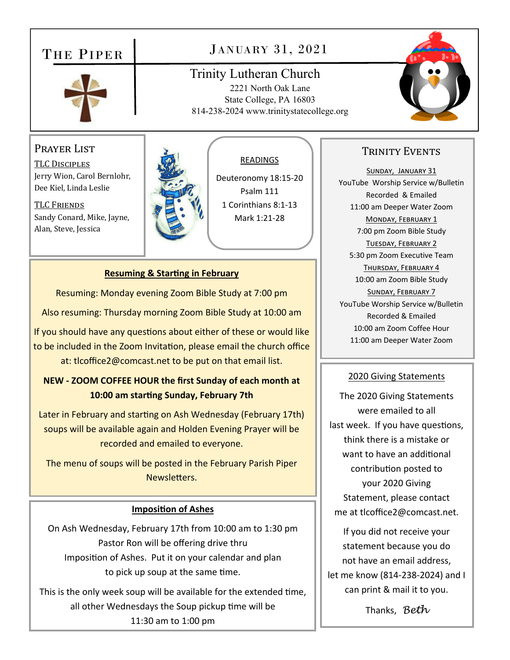# THE PIPER



# JANUARY 31, 2021

## Trinity Lutheran Church 2221 North Oak Lane State College, PA 16803 814-238-2024 www.trinitystatecollege.org



# Prayer List

TLC DISCIPLES Jerry Wion, Carol Bernlohr, Dee Kiel, Linda Leslie

TLC Friends Sandy Conard, Mike, Jayne, Alan, Steve, Jessica



#### READINGS

Deuteronomy 18:15‐20 Psalm 111 1 Corinthians 8:1‐13 Mark 1:21‐28

#### **Resuming & Starting in February**

Resuming: Monday evening Zoom Bible Study at 7:00 pm

Also resuming: Thursday morning Zoom Bible Study at 10:00 am

If you should have any questions about either of these or would like to be included in the Zoom Invitation, please email the church office at: tlcoffice2@comcast.net to be put on that email list.

## **NEW ‐ ZOOM COFFEE HOUR the first Sunday of each month at 10:00 am starƟng Sunday, February 7th**

Later in February and starting on Ash Wednesday (February 17th) soups will be available again and Holden Evening Prayer will be recorded and emailed to everyone.

The menu of soups will be posted in the February Parish Piper Newsletters.

#### **ImposiƟon of Ashes**

On Ash Wednesday, February 17th from 10:00 am to 1:30 pm Pastor Ron will be offering drive thru Imposition of Ashes. Put it on your calendar and plan to pick up soup at the same time.

This is the only week soup will be available for the extended time. all other Wednesdays the Soup pickup time will be 11:30 am to 1:00 pm

## TRINITY EVENTS

SUNDAY, JANUARY 31 YouTube Worship Service w/Bulletin Recorded & Emailed 11:00 am Deeper Water Zoom MONDAY, FEBRUARY 1 7:00 pm Zoom Bible Study TUESDAY, FEBRUARY 2 5:30 pm Zoom Executive Team THURSDAY, FEBRUARY 4 10:00 am Zoom Bible Study SUNDAY, FEBRUARY 7 YouTube Worship Service w/Bulletin Recorded & Emailed 10:00 am Zoom Coffee Hour 11:00 am Deeper Water Zoom

#### 2020 Giving Statements

The 2020 Giving Statements were emailed to all last week. If you have questions, think there is a mistake or want to have an additional contribuƟon posted to your 2020 Giving Statement, please contact me at tlcoffice2@comcast.net.

If you did not receive your statement because you do not have an email address, let me know (814‐238‐2024) and I can print & mail it to you.

Thanks, *Beth*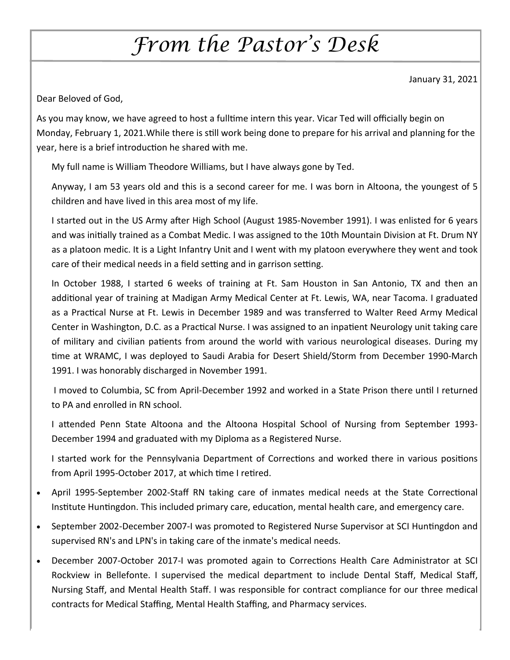# *From the Pastor's Desk*

January 31, 2021

Dear Beloved of God,

As you may know, we have agreed to host a fulltime intern this year. Vicar Ted will officially begin on Monday, February 1, 2021. While there is still work being done to prepare for his arrival and planning for the year, here is a brief introduction he shared with me.

My full name is William Theodore Williams, but I have always gone by Ted.

Anyway, I am 53 years old and this is a second career for me. I was born in Altoona, the youngest of 5 children and have lived in this area most of my life.

I started out in the US Army after High School (August 1985-November 1991). I was enlisted for 6 years and was initially trained as a Combat Medic. I was assigned to the 10th Mountain Division at Ft. Drum NY as a platoon medic. It is a Light Infantry Unit and I went with my platoon everywhere they went and took care of their medical needs in a field setting and in garrison setting.

In October 1988, I started 6 weeks of training at Ft. Sam Houston in San Antonio, TX and then an additional year of training at Madigan Army Medical Center at Ft. Lewis, WA, near Tacoma. I graduated as a Practical Nurse at Ft. Lewis in December 1989 and was transferred to Walter Reed Army Medical Center in Washington, D.C. as a Practical Nurse. I was assigned to an inpatient Neurology unit taking care of military and civilian patients from around the world with various neurological diseases. During my time at WRAMC, I was deployed to Saudi Arabia for Desert Shield/Storm from December 1990-March 1991. I was honorably discharged in November 1991.

I moved to Columbia, SC from April-December 1992 and worked in a State Prison there until I returned to PA and enrolled in RN school.

I attended Penn State Altoona and the Altoona Hospital School of Nursing from September 1993-December 1994 and graduated with my Diploma as a Registered Nurse.

I started work for the Pennsylvania Department of Corrections and worked there in various positions from April 1995-October 2017, at which time I retired.

- April 1995-September 2002-Staff RN taking care of inmates medical needs at the State Correctional Institute Huntingdon. This included primary care, education, mental health care, and emergency care.
- September 2002-December 2007-I was promoted to Registered Nurse Supervisor at SCI Huntingdon and supervised RN's and LPN's in taking care of the inmate's medical needs.
- December 2007-October 2017-I was promoted again to Corrections Health Care Administrator at SCI Rockview in Bellefonte. I supervised the medical department to include Dental Staff, Medical Staff, Nursing Staff, and Mental Health Staff. I was responsible for contract compliance for our three medical contracts for Medical Staffing, Mental Health Staffing, and Pharmacy services.